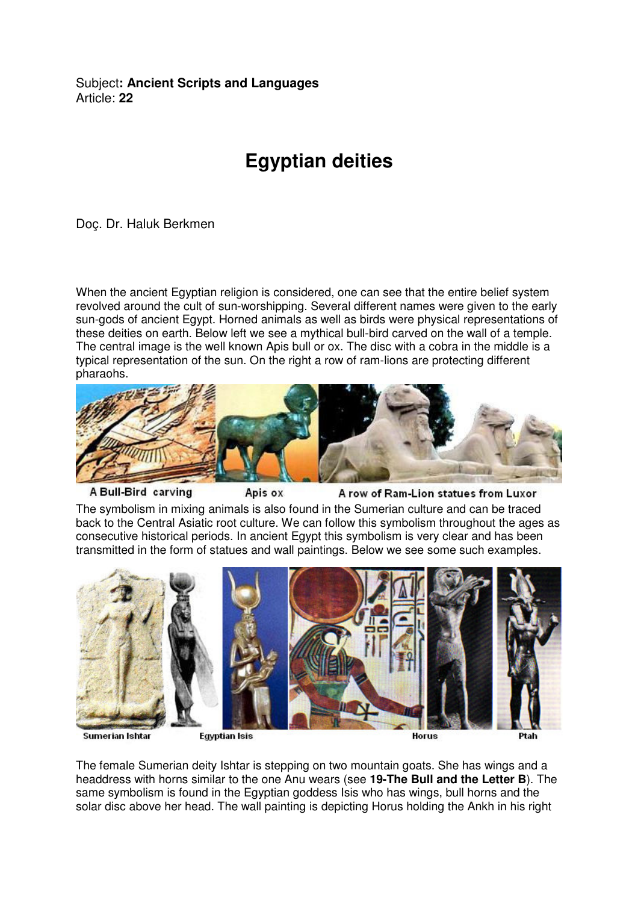Subject**: Ancient Scripts and Languages**  Article: **22**

## **Egyptian deities**

Doç. Dr. Haluk Berkmen

When the ancient Egyptian religion is considered, one can see that the entire belief system revolved around the cult of sun-worshipping. Several different names were given to the early sun-gods of ancient Egypt. Horned animals as well as birds were physical representations of these deities on earth. Below left we see a mythical bull-bird carved on the wall of a temple. The central image is the well known Apis bull or ox. The disc with a cobra in the middle is a typical representation of the sun. On the right a row of ram-lions are protecting different pharaohs.



A Bull-Bird carving

Apis ox

A row of Ram-Lion statues from Luxor

The symbolism in mixing animals is also found in the Sumerian culture and can be traced back to the Central Asiatic root culture. We can follow this symbolism throughout the ages as consecutive historical periods. In ancient Egypt this symbolism is very clear and has been transmitted in the form of statues and wall paintings. Below we see some such examples.



**Sumerian Ishtar** 

**Egyptian Isis** 

Horus

The female Sumerian deity Ishtar is stepping on two mountain goats. She has wings and a headdress with horns similar to the one Anu wears (see **19-The Bull and the Letter B**). The same symbolism is found in the Egyptian goddess Isis who has wings, bull horns and the solar disc above her head. The wall painting is depicting Horus holding the Ankh in his right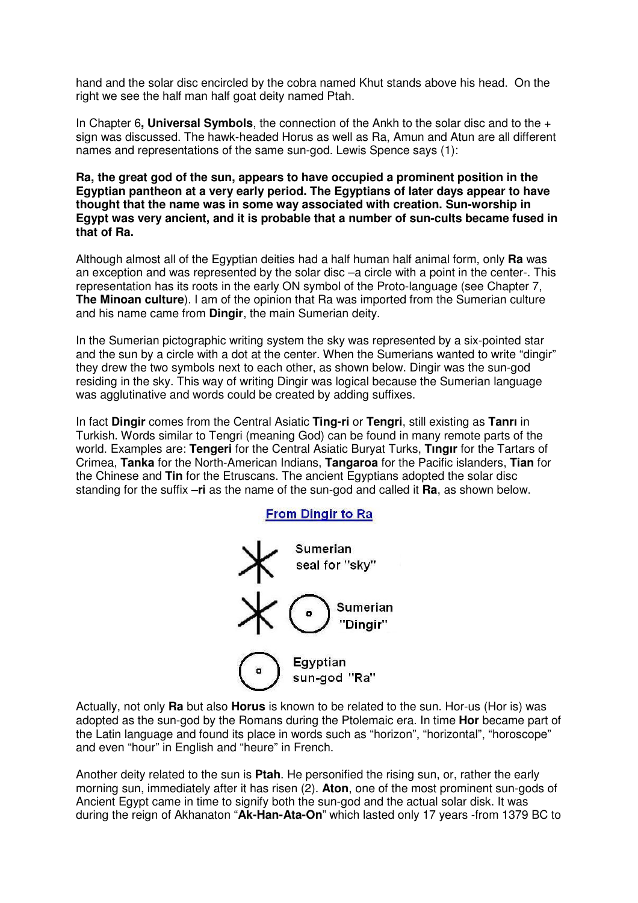hand and the solar disc encircled by the cobra named Khut stands above his head. On the right we see the half man half goat deity named Ptah.

In Chapter 6**, Universal Symbols**, the connection of the Ankh to the solar disc and to the + sign was discussed. The hawk-headed Horus as well as Ra, Amun and Atun are all different names and representations of the same sun-god. Lewis Spence says (1):

**Ra, the great god of the sun, appears to have occupied a prominent position in the Egyptian pantheon at a very early period. The Egyptians of later days appear to have thought that the name was in some way associated with creation. Sun-worship in Egypt was very ancient, and it is probable that a number of sun-cults became fused in that of Ra.**

Although almost all of the Egyptian deities had a half human half animal form, only **Ra** was an exception and was represented by the solar disc –a circle with a point in the center-. This representation has its roots in the early ON symbol of the Proto-language (see Chapter 7, **The Minoan culture**). I am of the opinion that Ra was imported from the Sumerian culture and his name came from **Dingir**, the main Sumerian deity.

In the Sumerian pictographic writing system the sky was represented by a six-pointed star and the sun by a circle with a dot at the center. When the Sumerians wanted to write "dingir" they drew the two symbols next to each other, as shown below. Dingir was the sun-god residing in the sky. This way of writing Dingir was logical because the Sumerian language was agglutinative and words could be created by adding suffixes.

In fact **Dingir** comes from the Central Asiatic **Ting-ri** or **Tengri**, still existing as **Tanrı** in Turkish. Words similar to Tengri (meaning God) can be found in many remote parts of the world. Examples are: **Tengeri** for the Central Asiatic Buryat Turks, **Tıngır** for the Tartars of Crimea, **Tanka** for the North-American Indians, **Tangaroa** for the Pacific islanders, **Tian** for the Chinese and **Tin** for the Etruscans. The ancient Egyptians adopted the solar disc standing for the suffix **–ri** as the name of the sun-god and called it **Ra**, as shown below.



Actually, not only **Ra** but also **Horus** is known to be related to the sun. Hor-us (Hor is) was adopted as the sun-god by the Romans during the Ptolemaic era. In time **Hor** became part of the Latin language and found its place in words such as "horizon", "horizontal", "horoscope" and even "hour" in English and "heure" in French.

Another deity related to the sun is **Ptah**. He personified the rising sun, or, rather the early morning sun, immediately after it has risen (2). **Aton**, one of the most prominent sun-gods of Ancient Egypt came in time to signify both the sun-god and the actual solar disk. It was during the reign of Akhanaton "**Ak-Han-Ata-On**" which lasted only 17 years -from 1379 BC to